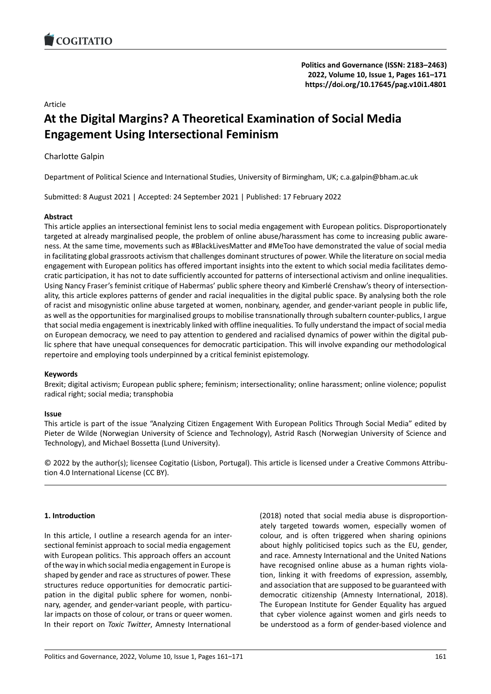# Article

# **At the Digital Margins? A Theoretical Examinati[on of Social Media](https://doi.org/10.17645/pag.v10i1.4801) Engagement Using Intersectional Feminism**

# Charlotte Galpin

Department of Political Science and International Studies, University of Birmingham, UK; c.a.galpin@bham.ac.uk

Submitted: 8 August 2021 | Accepted: 24 September 2021 | Published: 17 February 2022

# **Abstract**

This article applies an intersectional feminist lens to social media engagement with European politics. Disproportionately targeted at already marginalised people, the problem of online abuse/harassment has come to increasing public aware‐ ness. At the same time, movements such as #BlackLivesMatter and #MeToo have demonstrated the value of social media in facilitating global grassroots activism that challenges dominant structures of power. While the literature on social media engagement with European politics has offered important insights into the extent to which social media facilitates demo‐ cratic participation, it has not to date sufficiently accounted for patterns of intersectional activism and online inequalities. Using Nancy Fraser's feminist critique of Habermas' public sphere theory and Kimberlé Crenshaw's theory of intersection‐ ality, this article explores patterns of gender and racial inequalities in the digital public space. By analysing both the role of racist and misogynistic online abuse targeted at women, nonbinary, agender, and gender‐variant people in public life, as well as the opportunities for marginalised groups to mobilise transnationally through subaltern counter-publics, I argue that social media engagement is inextricably linked with offline inequalities. To fully understand the impact of social media on European democracy, we need to pay attention to gendered and racialised dynamics of power within the digital pub‐ lic sphere that have unequal consequences for democratic participation. This will involve expanding our methodological repertoire and employing tools underpinned by a critical feminist epistemology.

# **Keywords**

Brexit; digital activism; European public sphere; feminism; intersectionality; online harassment; online violence; populist radical right; social media; transphobia

### **Issue**

This article is part of the issue "Analyzing Citizen Engagement With European Politics Through Social Media" edited by Pieter de Wilde (Norwegian University of Science and Technology), Astrid Rasch (Norwegian University of Science and Technology), and Michael Bossetta (Lund University).

© 2022 by the author(s); licensee Cogitatio (Lisbon, Portugal). This article is licensed under a Creative Commons Attribu‐ tion 4.0 International License (CC BY).

# **1. Introduction**

In this article, I outline a research agenda for an inter‐ sectional feminist approach to social media engagement with European politics. This approach offers an account of the way in which social media engagement in Europe is shaped by gender and race as structures of power. These structures reduce opportunities for democratic partici‐ pation in the digital public sphere for women, nonbinary, agender, and gender‐variant people, with particu‐ lar impacts on those of colour, or trans or queer women. In their report on *Toxic Twitter*, Amnesty International (2018) noted that social media abuse is disproportion‐ ately targeted towards women, especially women of colour, and is often triggered when sharing opinions about highly politicised topics such as the EU, gender, and race. Amnesty International and the United Nations have recognised online abuse as a human rights violation, linking it with freedoms of expression, assembly, and association that are supposed to be guaranteed with democratic citizenship (Amnesty International, 2018). The European Institute for Gender Equality has argued that cyber violence against women and girls needs to be understood as a form of gender‐based violence and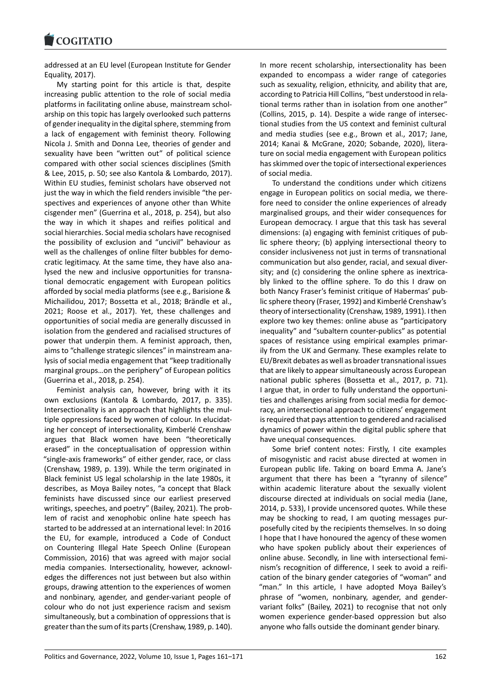#### **LOGITATIO**

addressed at an EU level (European Institute for Gender Equality, 2017).

[My starting poin](https://www.cogitatiopress.com)t for this article is that, despite increasing public attention to the role of social media platforms in facilitating online abuse, mainstream schol‐ arship on this topic has largely overlooked such patterns of gender inequality in the digital sphere, stemming from a lack of engagement with feminist theory. Following Nicola J. Smith and Donna Lee, theories of gender and sexuality have been "written out" of political science compared with other social sciences disciplines (Smith & Lee, 2015, p. 50; see also Kantola & Lombardo, 2017). Within EU studies, feminist scholars have observed not just the way in which the field renders invisible "the per‐ spectives and experiences of anyone other than White cisgender men" (Guerrina et al., 2018, p. 254), but also the way in which it shapes and reifies political and social hierarchies. Social media scholars have recognised the possibility of exclusion and "uncivil" behaviour as well as the challenges of online filter bubbles for demo‐ cratic legitimacy. At the same time, they have also ana‐ lysed the new and inclusive opportunities for transna‐ tional democratic engagement with European politics afforded by social media platforms (see e.g., Barisione & Michailidou, 2017; Bossetta et al., 2018; Brändle et al., 2021; Roose et al., 2017). Yet, these challenges and opportunities of social media are generally discussed in isolation from the gendered and racialised structures of power that underpin them. A feminist approach, then, aims to "challenge strategic silences" in mainstream ana‐ lysis of social media engagement that "keep traditionally marginal groups…on the periphery" of European politics (Guerrina et al., 2018, p. 254).

Feminist analysis can, however, bring with it its own exclusions (Kantola & Lombardo, 2017, p. 335). Intersectionality is an approach that highlights the mul‐ tiple oppressions faced by women of colour. In elucidat‐ ing her concept of intersectionality, Kimberlé Crenshaw argues that Black women have been "theoretically erased" in the conceptualisation of oppression within "single‐axis frameworks" of either gender, race, or class (Crenshaw, 1989, p. 139). While the term originated in Black feminist US legal scholarship in the late 1980s, it describes, as Moya Bailey notes, "a concept that Black feminists have discussed since our earliest preserved writings, speeches, and poetry" (Bailey, 2021). The prob‐ lem of racist and xenophobic online hate speech has started to be addressed at an international level: In 2016 the EU, for example, introduced a Code of Conduct on Countering Illegal Hate Speech Online (European Commission, 2016) that was agreed with major social media companies. Intersectionality, however, acknowl‐ edges the differences not just between but also within groups, drawing attention to the experiences of women and nonbinary, agender, and gender‐variant people of colour who do not just experience racism and sexism simultaneously, but a combination of oppressions that is greater than the sum of its parts (Crenshaw, 1989, p. 140). In more recent scholarship, intersectionality has been expanded to encompass a wider range of categories such as sexuality, religion, ethnicity, and ability that are, according to Patricia Hill Collins, "best understood in rela‐ tional terms rather than in isolation from one another" (Collins, 2015, p. 14). Despite a wide range of intersec‐ tional studies from the US context and feminist cultural and media studies (see e.g., Brown et al., 2017; Jane, 2014; Kanai & McGrane, 2020; Sobande, 2020), litera‐ ture on social media engagement with European politics has skimmed over the topic of intersectional experiences of social media.

To understand the conditions under which citizens engage in European politics on social media, we there‐ fore need to consider the online experiences of already marginalised groups, and their wider consequences for European democracy. I argue that this task has several dimensions: (a) engaging with feminist critiques of pub‐ lic sphere theory; (b) applying intersectional theory to consider inclusiveness not just in terms of transnational communication but also gender, racial, and sexual diver‐ sity; and (c) considering the online sphere as inextricably linked to the offline sphere. To do this I draw on both Nancy Fraser's feminist critique of Habermas' pub‐ lic sphere theory (Fraser, 1992) and Kimberlé Crenshaw's theory of intersectionality (Crenshaw, 1989, 1991). I then explore two key themes: online abuse as "participatory inequality" and "subaltern counter‐publics" as potential spaces of resistance using empirical examples primar‐ ily from the UK and Germany. These examples relate to EU/Brexit debates as well as broader transnational issues that are likely to appear simultaneously across European national public spheres (Bossetta et al., 2017, p. 71). I argue that, in order to fully understand the opportuni‐ ties and challenges arising from social media for democ‐ racy, an intersectional approach to citizens' engagement is required that pays attention to gendered and racialised dynamics of power within the digital public sphere that have unequal consequences.

Some brief content notes: Firstly, I cite examples of misogynistic and racist abuse directed at women in European public life. Taking on board Emma A. Jane's argument that there has been a "tyranny of silence" within academic literature about the sexually violent discourse directed at individuals on social media (Jane, 2014, p. 533), I provide uncensored quotes. While these may be shocking to read, I am quoting messages pur‐ posefully cited by the recipients themselves. In so doing I hope that I have honoured the agency of these women who have spoken publicly about their experiences of online abuse. Secondly, in line with intersectional femi‐ nism's recognition of difference, I seek to avoid a reifi‐ cation of the binary gender categories of "woman" and "man." In this article, I have adopted Moya Bailey's phrase of "women, nonbinary, agender, and gender‐ variant folks" (Bailey, 2021) to recognise that not only women experience gender‐based oppression but also anyone who falls outside the dominant gender binary.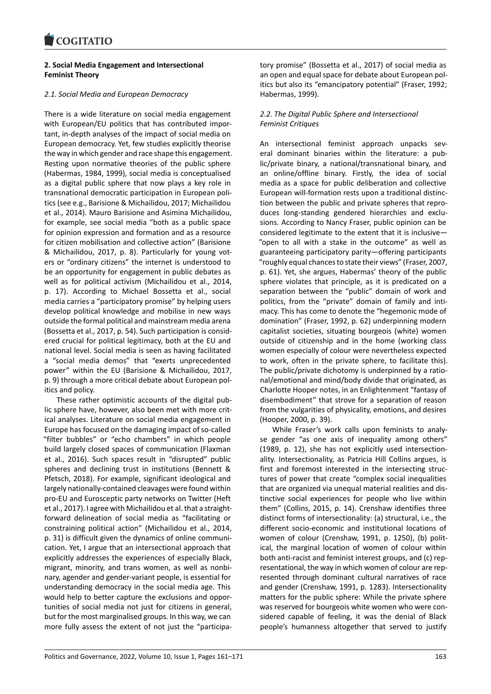### **2. Social Media Engagement and Intersectional [Feminist Theory](https://www.cogitatiopress.com)**

### *2.1. Social Media and European Democracy*

There is a wide literature on social media engagement with European/EU politics that has contributed important, in‐depth analyses of the impact of social media on European democracy. Yet, few studies explicitly theorise the way in which gender and race shape this engagement. Resting upon normative theories of the public sphere (Habermas, 1984, 1999), social media is conceptualised as a digital public sphere that now plays a key role in transnational democratic participation in European poli‐ tics (see e.g., Barisione & Michailidou, 2017; Michailidou et al., 2014). Mauro Barisione and Asimina Michailidou, for example, see social media "both as a public space for opinion expression and formation and as a resource for citizen mobilisation and collective action" (Barisione & Michailidou, 2017, p. 8). Particularly for young vot‐ ers or "ordinary citizens" the internet is understood to be an opportunity for engagement in public debates as well as for political activism (Michailidou et al., 2014, p. 17). According to Michael Bossetta et al., social media carries a "participatory promise" by helping users develop political knowledge and mobilise in new ways outside the formal political and mainstream media arena (Bossetta et al., 2017, p. 54). Such participation is consid‐ ered crucial for political legitimacy, both at the EU and national level. Social media is seen as having facilitated a "social media demos" that "exerts unprecedented power" within the EU (Barisione & Michailidou, 2017, p. 9) through a more critical debate about European pol‐ itics and policy.

These rather optimistic accounts of the digital pub‐ lic sphere have, however, also been met with more crit‐ ical analyses. Literature on social media engagement in Europe has focused on the damaging impact of so‐called "filter bubbles" or "echo chambers" in which people build largely closed spaces of communication (Flaxman et al., 2016). Such spaces result in "disrupted" public spheres and declining trust in institutions (Bennett & Pfetsch, 2018). For example, significant ideological and largely nationally‐contained cleavages were found within pro‐EU and Eurosceptic party networks on Twitter (Heft et al., 2017). I agree with Michailidou et al. that a straight‐ forward delineation of social media as "facilitating or constraining political action" (Michailidou et al., 2014, p. 31) is difficult given the dynamics of online communi‐ cation. Yet, I argue that an intersectional approach that explicitly addresses the experiences of especially Black, migrant, minority, and trans women, as well as nonbi‐ nary, agender and gender‐variant people, is essential for understanding democracy in the social media age. This would help to better capture the exclusions and oppor‐ tunities of social media not just for citizens in general, but for the most marginalised groups. In this way, we can more fully assess the extent of not just the "participa‐ tory promise" (Bossetta et al., 2017) of social media as an open and equal space for debate about European pol‐ itics but also its "emancipatory potential" (Fraser, 1992; Habermas, 1999).

# *2.2. The Digital Public Sphere and Intersectional Feminist Critiques*

An intersectional feminist approach unpacks several dominant binaries within the literature: a pub‐ lic/private binary, a national/transnational binary, and an online/offline binary. Firstly, the idea of social media as a space for public deliberation and collective European will‐formation rests upon a traditional distinc‐ tion between the public and private spheres that repro‐ duces long‐standing gendered hierarchies and exclu‐ sions. According to Nancy Fraser, public opinion can be considered legitimate to the extent that it is inclusive— "open to all with a stake in the outcome" as well as guaranteeing participatory parity—offering participants "roughly equal chances to state their views" (Fraser, 2007, p. 61). Yet, she argues, Habermas' theory of the public sphere violates that principle, as it is predicated on a separation between the "public" domain of work and politics, from the "private" domain of family and intimacy. This has come to denote the "hegemonic mode of domination" (Fraser, 1992, p. 62) underpinning modern capitalist societies, situating bourgeois (white) women outside of citizenship and in the home (working class women especially of colour were nevertheless expected to work, often in the private sphere, to facilitate this). The public/private dichotomy is underpinned by a ratio‐ nal/emotional and mind/body divide that originated, as Charlotte Hooper notes, in an Enlightenment "fantasy of disembodiment" that strove for a separation of reason from the vulgarities of physicality, emotions, and desires (Hooper, 2000, p. 39).

While Fraser's work calls upon feminists to analy‐ se gender "as one axis of inequality among others" (1989, p. 12), she has not explicitly used intersection‐ ality. Intersectionality, as Patricia Hill Collins argues, is first and foremost interested in the intersecting structures of power that create "complex social inequalities that are organized via unequal material realities and dis‐ tinctive social experiences for people who live within them" (Collins, 2015, p. 14). Crenshaw identifies three distinct forms of intersectionality: (a) structural, i.e., the different socio‐economic and institutional locations of women of colour (Crenshaw, 1991, p. 1250), (b) polit‐ ical, the marginal location of women of colour within both anti-racist and feminist interest groups, and (c) representational, the way in which women of colour are rep‐ resented through dominant cultural narratives of race and gender (Crenshaw, 1991, p. 1283). Intersectionality matters for the public sphere: While the private sphere was reserved for bourgeois white women who were con‐ sidered capable of feeling, it was the denial of Black people's humanness altogether that served to justify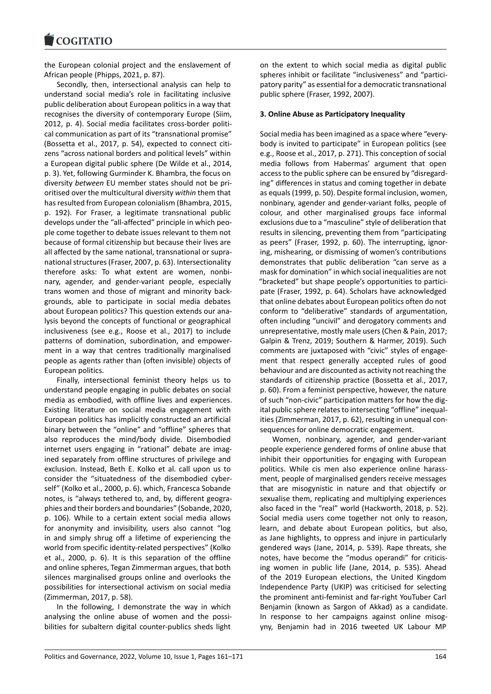#### **LOGITATIO**

the European colonial project and the enslavement of [African people \(Phipp](https://www.cogitatiopress.com)s, 2021, p. 87).

Secondly, then, intersectional analysis can help to understand social media's role in facilitating inclusive public deliberation about European politics in a way that recognises the diversity of contemporary Europe (Siim, 2012, p. 4). Social media facilitates cross‐border politi‐ cal communication as part of its "transnational promise" (Bossetta et al., 2017, p. 54), expected to connect citi‐ zens "across national borders and political levels" within a European digital public sphere (De Wilde et al., 2014, p. 3). Yet, following Gurminder K. Bhambra, the focus on diversity *between* EU member states should not be pri‐ oritised over the multicultural diversity *within* them that has resulted from European colonialism (Bhambra, 2015, p. 192). For Fraser, a legitimate transnational public develops under the "all‐affected" principle in which peo‐ ple come together to debate issues relevant to them not because of formal citizenship but because their lives are all affected by the same national, transnational or supra‐ national structures (Fraser, 2007, p. 63). Intersectionality therefore asks: To what extent are women, nonbi‐ nary, agender, and gender‐variant people, especially trans women and those of migrant and minority back‐ grounds, able to participate in social media debates about European politics? This question extends our ana‐ lysis beyond the concepts of functional or geographical inclusiveness (see e.g., Roose et al., 2017) to include patterns of domination, subordination, and empower‐ ment in a way that centres traditionally marginalised people as agents rather than (often invisible) objects of European politics.

Finally, intersectional feminist theory helps us to understand people engaging in public debates on social media as embodied, with offline lives and experiences. Existing literature on social media engagement with European politics has implicitly constructed an artificial binary between the "online" and "offline" spheres that also reproduces the mind/body divide. Disembodied internet users engaging in "rational" debate are imagined separately from offline structures of privilege and exclusion. Instead, Beth E. Kolko et al. call upon us to consider the "situatedness of the disembodied cyber‐ self" (Kolko et al., 2000, p. 6). which, Francesca Sobande notes, is "always tethered to, and, by, different geogra‐ phies and their borders and boundaries" (Sobande, 2020, p. 106). While to a certain extent social media allows for anonymity and invisibility, users also cannot "log in and simply shrug off a lifetime of experiencing the world from specific identity-related perspectives" (Kolko et al., 2000, p. 6). It is this separation of the offline and online spheres, Tegan Zimmerman argues, that both silences marginalised groups online and overlooks the possibilities for intersectional activism on social media (Zimmerman, 2017, p. 58).

In the following, I demonstrate the way in which analysing the online abuse of women and the possibilities for subaltern digital counter‐publics sheds light

on the extent to which social media as digital public spheres inhibit or facilitate "inclusiveness" and "partici‐ patory parity" as essential for a democratic transnational public sphere (Fraser, 1992, 2007).

# **3. Online Abuse as Participatory Inequality**

Social media has been imagined as a space where "every‐ body is invited to participate" in European politics (see e.g., Roose et al., 2017, p. 271). This conception of social media follows from Habermas' argument that open access to the public sphere can be ensured by "disregard‐ ing" differences in status and coming together in debate as equals (1999, p. 50). Despite formal inclusion, women, nonbinary, agender and gender‐variant folks, people of colour, and other marginalised groups face informal exclusions due to a "masculine" style of deliberation that results in silencing, preventing them from "participating as peers" (Fraser, 1992, p. 60). The interrupting, ignor‐ ing, mishearing, or dismissing of women's contributions demonstrates that public deliberation "can serve as a mask for domination" in which social inequalities are not "bracketed" but shape people's opportunities to partici‐ pate (Fraser, 1992, p. 64). Scholars have acknowledged that online debates about European politics often do not conform to "deliberative" standards of argumentation, often including "uncivil" and derogatory comments and unrepresentative, mostly male users (Chen & Pain, 2017; Galpin & Trenz, 2019; Southern & Harmer, 2019). Such comments are juxtaposed with "civic" styles of engage‐ ment that respect generally accepted rules of good behaviour and are discounted as activity not reaching the standards of citizenship practice (Bossetta et al., 2017, p. 60). From a feminist perspective, however, the nature of such "non‐civic" participation matters for how the dig‐ ital public sphere relates to intersecting "offline" inequal‐ ities (Zimmerman, 2017, p. 62), resulting in unequal con‐ sequences for online democratic engagement.

Women, nonbinary, agender, and gender‐variant people experience gendered forms of online abuse that inhibit their opportunities for engaging with European politics. While cis men also experience online harassment, people of marginalised genders receive messages that are misogynistic in nature and that objectify or sexualise them, replicating and multiplying experiences also faced in the "real" world (Hackworth, 2018, p. 52). Social media users come together not only to reason, learn, and debate about European politics, but also, as Jane highlights, to oppress and injure in particularly gendered ways (Jane, 2014, p. 539). Rape threats, she notes, have become the "modus operandi" for criticising women in public life (Jane, 2014, p. 535). Ahead of the 2019 European elections, the United Kingdom Independence Party (UKIP) was criticised for selecting the prominent anti‐feminist and far‐right YouTuber Carl Benjamin (known as Sargon of Akkad) as a candidate. In response to her campaigns against online misogyny, Benjamin had in 2016 tweeted UK Labour MP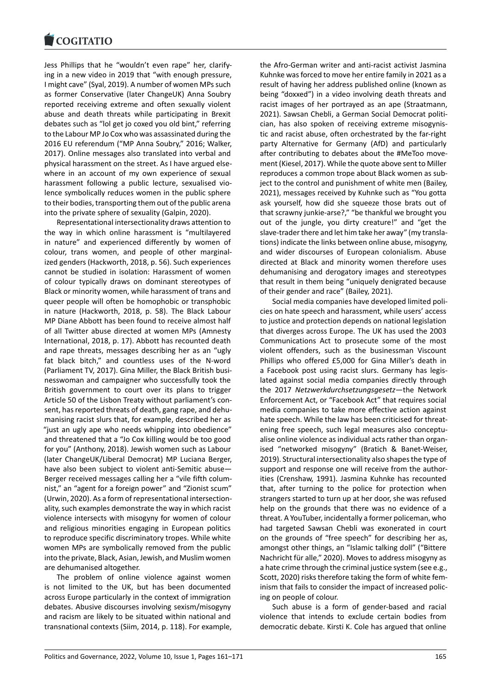Jess Phillips that he "wouldn't even rape" her, clarify‐ [ing in a new video in](https://www.cogitatiopress.com) 2019 that "with enough pressure, I might cave" (Syal, 2019). A number of women MPs such as former Conservative (later ChangeUK) Anna Soubry reported receiving extreme and often sexually violent abuse and death threats while participating in Brexit debates such as "lol get jo coxed you old bint," referring to the Labour MP Jo Cox who was assassinated during the 2016 EU referendum ("MP Anna Soubry," 2016; Walker, 2017). Online messages also translated into verbal and physical harassment on the street. As I have argued else‐ where in an account of my own experience of sexual harassment following a public lecture, sexualised violence symbolically reduces women in the public sphere to their bodies, transporting them out of the public arena into the private sphere of sexuality (Galpin, 2020).

Representational intersectionality draws attention to the way in which online harassment is "multilayered in nature" and experienced differently by women of colour, trans women, and people of other marginal‐ ized genders (Hackworth, 2018, p. 56). Such experiences cannot be studied in isolation: Harassment of women of colour typically draws on dominant stereotypes of Black or minority women, while harassment of trans and queer people will often be homophobic or transphobic in nature (Hackworth, 2018, p. 58). The Black Labour MP Diane Abbott has been found to receive almost half of all Twitter abuse directed at women MPs (Amnesty International, 2018, p. 17). Abbott has recounted death and rape threats, messages describing her as an "ugly fat black bitch," and countless uses of the N‐word (Parliament TV, 2017). Gina Miller, the Black British busi‐ nesswoman and campaigner who successfully took the British government to court over its plans to trigger Article 50 of the Lisbon Treaty without parliament's con‐ sent, has reported threats of death, gang rape, and dehu‐ manising racist slurs that, for example, described her as "just an ugly ape who needs whipping into obedience" and threatened that a "Jo Cox killing would be too good for you" (Anthony, 2018). Jewish women such as Labour (later ChangeUK/Liberal Democrat) MP Luciana Berger, have also been subject to violent anti-Semitic abuse-Berger received messages calling her a "vile fifth colum‐ nist," an "agent for a foreign power" and "Zionist scum" (Urwin, 2020). As a form of representational intersection‐ ality, such examples demonstrate the way in which racist violence intersects with misogyny for women of colour and religious minorities engaging in European politics to reproduce specific discriminatory tropes. While white women MPs are symbolically removed from the public into the private, Black, Asian, Jewish, and Muslim women are dehumanised altogether.

The problem of online violence against women is not limited to the UK, but has been documented across Europe particularly in the context of immigration debates. Abusive discourses involving sexism/misogyny and racism are likely to be situated within national and transnational contexts (Siim, 2014, p. 118). For example, the Afro‐German writer and anti‐racist activist Jasmina Kuhnke was forced to move her entire family in 2021 as a result of having her address published online (known as being "doxxed") in a video involving death threats and racist images of her portrayed as an ape (Straatmann, 2021). Sawsan Chebli, a German Social Democrat politi‐ cian, has also spoken of receiving extreme misogynis‐ tic and racist abuse, often orchestrated by the far‐right party Alternative for Germany (AfD) and particularly after contributing to debates about the #MeToo move‐ ment (Kiesel, 2017). While the quote above sent to Miller reproduces a common trope about Black women as sub‐ ject to the control and punishment of white men (Bailey, 2021), messages received by Kuhnke such as "You gotta ask yourself, how did she squeeze those brats out of that scrawny junkie‐arse?," "be thankful we brought you out of the jungle, you dirty creature!" and "get the slave-trader there and let him take her away" (my translations) indicate the links between online abuse, misogyny, and wider discourses of European colonialism. Abuse directed at Black and minority women therefore uses dehumanising and derogatory images and stereotypes that result in them being "uniquely denigrated because of their gender and race" (Bailey, 2021).

Social media companies have developed limited poli‐ cies on hate speech and harassment, while users' access to justice and protection depends on national legislation that diverges across Europe. The UK has used the 2003 Communications Act to prosecute some of the most violent offenders, such as the businessman Viscount Phillips who offered £5,000 for Gina Miller's death in a Facebook post using racist slurs. Germany has legis‐ lated against social media companies directly through the 2017 *Netzwerkdurchsetzungsgesetz*—the Network Enforcement Act, or "Facebook Act" that requires social media companies to take more effective action against hate speech. While the law has been criticised for threatening free speech, such legal measures also conceptu‐ alise online violence as individual acts rather than organ‐ ised "networked misogyny" (Bratich & Banet‐Weiser, 2019). Structural intersectionality also shapes the type of support and response one will receive from the author‐ ities (Crenshaw, 1991). Jasmina Kuhnke has recounted that, after turning to the police for protection when strangers started to turn up at her door, she was refused help on the grounds that there was no evidence of a threat. A YouTuber, incidentally a former policeman, who had targeted Sawsan Chebli was exonerated in court on the grounds of "free speech" for describing her as, amongst other things, an "Islamic talking doll" ("Bittere Nachricht für alle," 2020). Moves to address misogyny as a hate crime through the criminal justice system (see e.g., Scott, 2020) risks therefore taking the form of white fem‐ inism that fails to consider the impact of increased polic‐ ing on people of colour.

Such abuse is a form of gender‐based and racial violence that intends to exclude certain bodies from democratic debate. Kirsti K. Cole has argued that online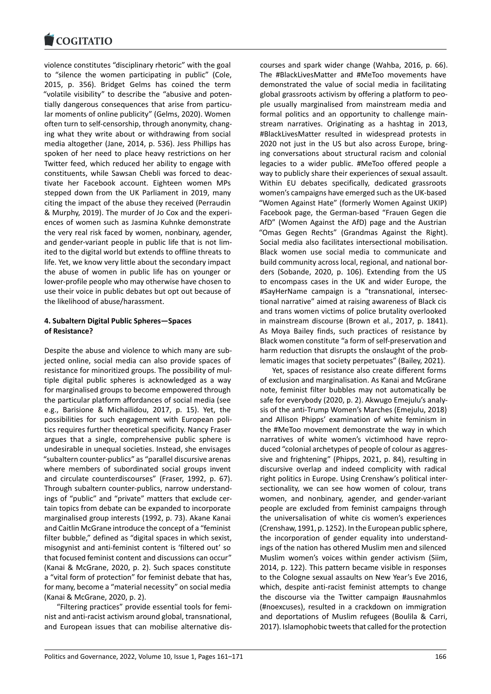#### COQUIATIO

violence constitutes "disciplinary rhetoric" with the goal [to "silence the wom](https://www.cogitatiopress.com)en participating in public" (Cole, 2015, p. 356). Bridget Gelms has coined the term "volatile visibility" to describe the "abusive and poten‐ tially dangerous consequences that arise from particu‐ lar moments of online publicity" (Gelms, 2020). Women often turn to self‐censorship, through anonymity, chang‐ ing what they write about or withdrawing from social media altogether (Jane, 2014, p. 536). Jess Phillips has spoken of her need to place heavy restrictions on her Twitter feed, which reduced her ability to engage with constituents, while Sawsan Chebli was forced to deac‐ tivate her Facebook account. Eighteen women MPs stepped down from the UK Parliament in 2019, many citing the impact of the abuse they received (Perraudin & Murphy, 2019). The murder of Jo Cox and the experi‐ ences of women such as Jasmina Kuhnke demonstrate the very real risk faced by women, nonbinary, agender, and gender‐variant people in public life that is not lim‐ ited to the digital world but extends to offline threats to life. Yet, we know very little about the secondary impact the abuse of women in public life has on younger or lower‐profile people who may otherwise have chosen to use their voice in public debates but opt out because of the likelihood of abuse/harassment.

### **4. Subaltern Digital Public Spheres—Spaces of Resistance?**

Despite the abuse and violence to which many are sub‐ jected online, social media can also provide spaces of resistance for minoritized groups. The possibility of mul‐ tiple digital public spheres is acknowledged as a way for marginalised groups to become empowered through the particular platform affordances of social media (see e.g., Barisione & Michailidou, 2017, p. 15). Yet, the possibilities for such engagement with European poli‐ tics requires further theoretical specificity. Nancy Fraser argues that a single, comprehensive public sphere is undesirable in unequal societies. Instead, she envisages "subaltern counter‐publics" as "parallel discursive arenas where members of subordinated social groups invent and circulate counterdiscourses" (Fraser, 1992, p. 67). Through subaltern counter‐publics, narrow understand‐ ings of "public" and "private" matters that exclude cer‐ tain topics from debate can be expanded to incorporate marginalised group interests (1992, p. 73). Akane Kanai and Caitlin McGrane introduce the concept of a "feminist filter bubble," defined as "digital spaces in which sexist, misogynist and anti‐feminist content is 'filtered out' so that focused feminist content and discussions can occur" (Kanai & McGrane, 2020, p. 2). Such spaces constitute a "vital form of protection" for feminist debate that has, for many, become a "material necessity" on social media (Kanai & McGrane, 2020, p. 2).

"Filtering practices" provide essential tools for femi‐ nist and anti‐racist activism around global, transnational, and European issues that can mobilise alternative dis‐ courses and spark wider change (Wahba, 2016, p. 66). The #BlackLivesMatter and #MeToo movements have demonstrated the value of social media in facilitating global grassroots activism by offering a platform to peo‐ ple usually marginalised from mainstream media and formal politics and an opportunity to challenge main‐ stream narratives. Originating as a hashtag in 2013, #BlackLivesMatter resulted in widespread protests in 2020 not just in the US but also across Europe, bring‐ ing conversations about structural racism and colonial legacies to a wider public. #MeToo offered people a way to publicly share their experiences of sexual assault. Within EU debates specifically, dedicated grassroots women's campaigns have emerged such as the UK‐based "Women Against Hate" (formerly Women Against UKIP) Facebook page, the German‐based "Frauen Gegen die AfD" (Women Against the AfD) page and the Austrian "Omas Gegen Rechts" (Grandmas Against the Right). Social media also facilitates intersectional mobilisation. Black women use social media to communicate and build community across local, regional, and national bor‐ ders (Sobande, 2020, p. 106). Extending from the US to encompass cases in the UK and wider Europe, the #SayHerName campaign is a "transnational, intersec‐ tional narrative" aimed at raising awareness of Black cis and trans women victims of police brutality overlooked in mainstream discourse (Brown et al., 2017, p. 1841). As Moya Bailey finds, such practices of resistance by Black women constitute "a form of self‐preservation and harm reduction that disrupts the onslaught of the prob‐ lematic images that society perpetuates" (Bailey, 2021).

Yet, spaces of resistance also create different forms of exclusion and marginalisation. As Kanai and McGrane note, feminist filter bubbles may not automatically be safe for everybody (2020, p. 2). Akwugo Emejulu's analy‐ sis of the anti‐Trump Women's Marches (Emejulu, 2018) and Allison Phipps' examination of white feminism in the #MeToo movement demonstrate the way in which narratives of white women's victimhood have repro‐ duced "colonial archetypes of people of colour as aggres‐ sive and frightening" (Phipps, 2021, p. 84), resulting in discursive overlap and indeed complicity with radical right politics in Europe. Using Crenshaw's political inter‐ sectionality, we can see how women of colour, trans women, and nonbinary, agender, and gender-variant people are excluded from feminist campaigns through the universalisation of white cis women's experiences (Crenshaw, 1991, p. 1252). In the European public sphere, the incorporation of gender equality into understand‐ ings of the nation has othered Muslim men and silenced Muslim women's voices within gender activism (Siim, 2014, p. 122). This pattern became visible in responses to the Cologne sexual assaults on New Year's Eve 2016, which, despite anti-racist feminist attempts to change the discourse via the Twitter campaign #ausnahmlos (#noexcuses), resulted in a crackdown on immigration and deportations of Muslim refugees (Boulila & Carri, 2017). Islamophobic tweets that called for the protection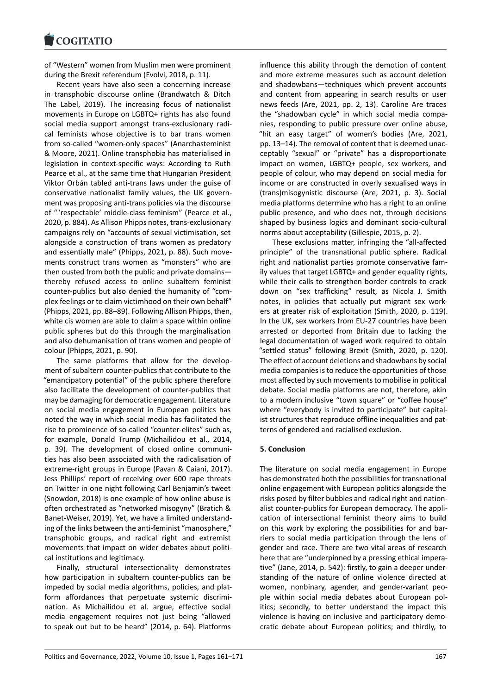of "Western" women from Muslim men were prominent [during the Brexit refe](https://www.cogitatiopress.com)rendum (Evolvi, 2018, p. 11).

Recent years have also seen a concerning increase in transphobic discourse online (Brandwatch & Ditch The Label, 2019). The increasing focus of nationalist movements in Europe on LGBTQ+ rights has also found social media support amongst trans‐exclusionary radi‐ cal feminists whose objective is to bar trans women from so-called "women-only spaces" (Anarchasteminist & Moore, 2021). Online transphobia has materialised in legislation in context‐specific ways: According to Ruth Pearce et al., at the same time that Hungarian President Viktor Orbán tabled anti‐trans laws under the guise of conservative nationalist family values, the UK govern‐ ment was proposing anti‐trans policies via the discourse of " 'respectable' middle‐class feminism" (Pearce et al., 2020, p. 884). As Allison Phipps notes, trans‐exclusionary campaigns rely on "accounts of sexual victimisation, set alongside a construction of trans women as predatory and essentially male" (Phipps, 2021, p. 88). Such move‐ ments construct trans women as "monsters" who are then ousted from both the public and private domains thereby refused access to online subaltern feminist counter‐publics but also denied the humanity of "com‐ plex feelings or to claim victimhood on their own behalf" (Phipps, 2021, pp. 88–89). Following Allison Phipps, then, white cis women are able to claim a space within online public spheres but do this through the marginalisation and also dehumanisation of trans women and people of colour (Phipps, 2021, p. 90).

The same platforms that allow for the develop‐ ment of subaltern counter‐publics that contribute to the "emancipatory potential" of the public sphere therefore also facilitate the development of counter‐publics that may be damaging for democratic engagement. Literature on social media engagement in European politics has noted the way in which social media has facilitated the rise to prominence of so-called "counter-elites" such as, for example, Donald Trump (Michailidou et al., 2014, p. 39). The development of closed online communities has also been associated with the radicalisation of extreme‐right groups in Europe (Pavan & Caiani, 2017). Jess Phillips' report of receiving over 600 rape threats on Twitter in one night following Carl Benjamin's tweet (Snowdon, 2018) is one example of how online abuse is often orchestrated as "networked misogyny" (Bratich & Banet‐Weiser, 2019). Yet, we have a limited understand‐ ing of the links between the anti‐feminist "manosphere," transphobic groups, and radical right and extremist movements that impact on wider debates about politi‐ cal institutions and legitimacy.

Finally, structural intersectionality demonstrates how participation in subaltern counter-publics can be impeded by social media algorithms, policies, and platform affordances that perpetuate systemic discrimination. As Michailidou et al. argue, effective social media engagement requires not just being "allowed to speak out but to be heard" (2014, p. 64). Platforms

influence this ability through the demotion of content and more extreme measures such as account deletion and shadowbans—techniques which prevent accounts and content from appearing in search results or user news feeds (Are, 2021, pp. 2, 13). Caroline Are traces the "shadowban cycle" in which social media compa‐ nies, responding to public pressure over online abuse, "hit an easy target" of women's bodies (Are, 2021, pp. 13–14). The removal of content that is deemed unac‐ ceptably "sexual" or "private" has a disproportionate impact on women, LGBTQ+ people, sex workers, and people of colour, who may depend on social media for income or are constructed in overly sexualised ways in (trans)misogynistic discourse (Are, 2021, p. 3). Social media platforms determine who has a right to an online public presence, and who does not, through decisions shaped by business logics and dominant socio‐cultural norms about acceptability (Gillespie, 2015, p. 2).

These exclusions matter, infringing the "all‐affected principle" of the transnational public sphere. Radical right and nationalist parties promote conservative fam‐ ily values that target LGBTQ+ and gender equality rights, while their calls to strengthen border controls to crack down on "sex trafficking" result, as Nicola J. Smith notes, in policies that actually put migrant sex work‐ ers at greater risk of exploitation (Smith, 2020, p. 119). In the UK, sex workers from EU‐27 countries have been arrested or deported from Britain due to lacking the legal documentation of waged work required to obtain "settled status" following Brexit (Smith, 2020, p. 120). The effect of account deletions and shadowbans by social media companies is to reduce the opportunities of those most affected by such movements to mobilise in political debate. Social media platforms are not, therefore, akin to a modern inclusive "town square" or "coffee house" where "everybody is invited to participate" but capitalist structures that reproduce offline inequalities and patterns of gendered and racialised exclusion.

# **5. Conclusion**

The literature on social media engagement in Europe has demonstrated both the possibilities for transnational online engagement with European politics alongside the risks posed by filter bubbles and radical right and nation‐ alist counter‐publics for European democracy. The appli‐ cation of intersectional feminist theory aims to build on this work by exploring the possibilities for and bar‐ riers to social media participation through the lens of gender and race. There are two vital areas of research here that are "underpinned by a pressing ethical impera‐ tive" (Jane, 2014, p. 542): firstly, to gain a deeper under‐ standing of the nature of online violence directed at women, nonbinary, agender, and gender‐variant peo‐ ple within social media debates about European pol‐ itics; secondly, to better understand the impact this violence is having on inclusive and participatory demo‐ cratic debate about European politics; and thirdly, to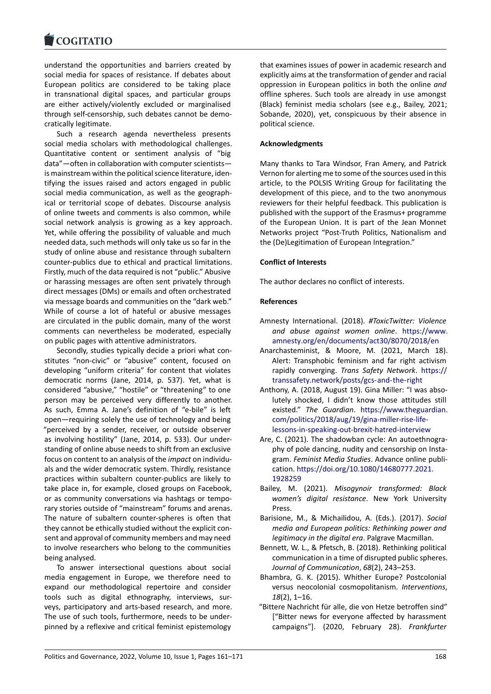#### COQUIATIO

understand the opportunities and barriers created by [social media for spa](https://www.cogitatiopress.com)ces of resistance. If debates about European politics are considered to be taking place in transnational digital spaces, and particular groups are either actively/violently excluded or marginalised through self‐censorship, such debates cannot be demo‐ cratically legitimate.

Such a research agenda nevertheless presents social media scholars with methodological challenges. Quantitative content or sentiment analysis of "big data"—often in collaboration with computer scientists is mainstream within the political science literature, iden‐ tifying the issues raised and actors engaged in public social media communication, as well as the geograph‐ ical or territorial scope of debates. Discourse analysis of online tweets and comments is also common, while social network analysis is growing as a key approach. Yet, while offering the possibility of valuable and much needed data, such methods will only take us so far in the study of online abuse and resistance through subaltern counter‐publics due to ethical and practical limitations. Firstly, much of the data required is not "public." Abusive or harassing messages are often sent privately through direct messages (DMs) or emails and often orchestrated via message boards and communities on the "dark web." While of course a lot of hateful or abusive messages are circulated in the public domain, many of the worst comments can nevertheless be moderated, especially on public pages with attentive administrators.

Secondly, studies typically decide a priori what con‐ stitutes "non‐civic" or "abusive" content, focused on developing "uniform criteria" for content that violates democratic norms (Jane, 2014, p. 537). Yet, what is considered "abusive," "hostile" or "threatening" to one person may be perceived very differently to another. As such, Emma A. Jane's definition of "e‐bile" is left open—requiring solely the use of technology and being "perceived by a sender, receiver, or outside observer as involving hostility" (Jane, 2014, p. 533). Our under‐ standing of online abuse needs to shift from an exclusive focus on content to an analysis of the *impact* on individu‐ als and the wider democratic system. Thirdly, resistance practices within subaltern counter‐publics are likely to take place in, for example, closed groups on Facebook, or as community conversations via hashtags or tempo‐ rary stories outside of "mainstream" forums and arenas. The nature of subaltern counter‐spheres is often that they cannot be ethically studied without the explicit con‐ sent and approval of community members and may need to involve researchers who belong to the communities being analysed.

To answer intersectional questions about social media engagement in Europe, we therefore need to expand our methodological repertoire and consider tools such as digital ethnography, interviews, sur‐ veys, participatory and arts‐based research, and more. The use of such tools, furthermore, needs to be under‐ pinned by a reflexive and critical feminist epistemology

that examines issues of power in academic research and explicitly aims at the transformation of gender and racial oppression in European politics in both the online *and* offline spheres. Such tools are already in use amongst (Black) feminist media scholars (see e.g., Bailey, 2021; Sobande, 2020), yet, conspicuous by their absence in political science.

### **Acknowledgments**

Many thanks to Tara Windsor, Fran Amery, and Patrick Vernon for alerting me to some of the sources used in this article, to the POLSIS Writing Group for facilitating the development of this piece, and to the two anonymous reviewers for their helpful feedback. This publication is published with the support of the Erasmus+ programme of the European Union. It is part of the Jean Monnet Networks project "Post‐Truth Politics, Nationalism and the (De)Legitimation of European Integration."

### **Conflict of Interests**

The author declares no conflict of interests.

### **References**

- Amnesty International. (2018). *#ToxicTwitter: Violence and abuse against women online*. https://www. amnesty.org/en/documents/act30/8070/2018/en
- Anarchasteminist, & Moore, M. (2021, March 18). Alert: Transphobic feminism and far right activism rapidly converging. *Trans Safety Network*. [https://](https://www.amnesty.org/en/documents/act30/8070/2018/en) [transsafety.network/posts/gcs‐and‐the‐right](https://www.amnesty.org/en/documents/act30/8070/2018/en)
- Anthony, A. (2018, August 19). Gina Miller: "I was abso‐ lutely shocked, I didn't know those attitudes still existed." *The Guardian*. https://www.theg[uardian.](https://transsafety.network/posts/gcs-and-the-right) [com/politics/2018/aug/19/gina‐miller‐rise‐life](https://transsafety.network/posts/gcs-and-the-right)‐ lessons‐in‐speaking‐out‐brexit‐hatred‐interview
- Are, C. (2021). The shadowban cycle: An autoethnogra‐ phy of pole dancing, nudit[y and censorship on Insta‐](https://www.theguardian.com/politics/2018/aug/19/gina-miller-rise-life-lessons-in-speaking-out-brexit-hatred-interview) gram. *[Feminist Media Studies](https://www.theguardian.com/politics/2018/aug/19/gina-miller-rise-life-lessons-in-speaking-out-brexit-hatred-interview)*. Advance online publi‐ cation. [https://doi.org/10.1080/14680777.2021](https://www.theguardian.com/politics/2018/aug/19/gina-miller-rise-life-lessons-in-speaking-out-brexit-hatred-interview). 1928259
- Bailey, M. (2021). *Misogynoir transformed: Black women's digital resistance*. New York University Press.
- Bar[isione, M., & Michailidou, A. \(Eds.\). \(2017\).](https://doi.org/10.1080/14680777.2021.1928259) *Social media and European politics: Rethinking power and legitimacy in the digital era*. Palgrave Macmillan.
- Bennett, W. L., & Pfetsch, B. (2018). Rethinking political communication in a time of disrupted public spheres. *Journal of Communication*, *68*(2), 243–253.
- Bhambra, G. K. (2015). Whither Europe? Postcolonial versus neocolonial cosmopolitanism. *Interventions*, *18*(2), 1–16.
- "Bittere Nachricht für alle, die von Hetze betroffen sind" ["Bitter news for everyone affected by harassment campaigns"]. (2020, February 28). *Frankfurter*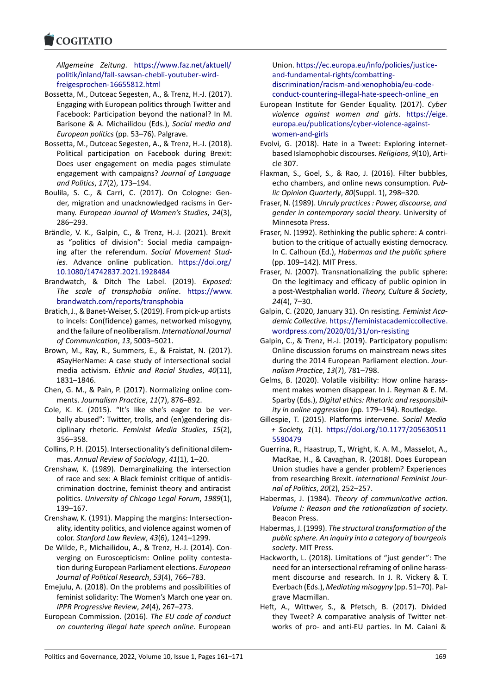#### COMITATIO

*Allgemeine Zeitung*. https://www.faz.net/aktuell/ [politik/inland/fal](https://www.cogitatiopress.com)l‐sawsan‐chebli‐youtuber‐wird‐ freigesprochen‐16655812.html

- Bossetta, M., Dutceac Segesten, A., & Trenz, H.‐J. (2017). Engaging with Europea[n politics through Twitter and](https://www.faz.net/aktuell/politik/inland/fall-sawsan-chebli-youtuber-wird-freigesprochen-16655812.html) [Facebook: Participation beyond the national? In](https://www.faz.net/aktuell/politik/inland/fall-sawsan-chebli-youtuber-wird-freigesprochen-16655812.html) M. [Barisone & A. Michailidou \(Eds](https://www.faz.net/aktuell/politik/inland/fall-sawsan-chebli-youtuber-wird-freigesprochen-16655812.html).), *Social media and European politics* (pp. 53–76). Palgrave.
- Bossetta, M., Dutceac Segesten, A., & Trenz, H.‐J. (2018). Political participation on Facebook during Brexit: Does user engagement on media pages stimulate engagement with campaigns? *Journal of Language and Politics*, *17*(2), 173–194.
- Boulila, S. C., & Carri, C. (2017). On Cologne: Gen‐ der, migration and unacknowledged racisms in Ger‐ many. *European Journal of Women's Studies*, *24*(3), 286–293.
- Brändle, V. K., Galpin, C., & Trenz, H.‐J. (2021). Brexit as "politics of division": Social media campaign‐ ing after the referendum. *Social Movement Stud‐ ies*. Advance online publication. https://doi.org/ 10.1080/14742837.2021.1928484
- Brandwatch, & Ditch The Label. (2019). *Exposed: The scale of transphobia online*. https://www. brandwatch.com/reports/transphob[ia](https://doi.org/10.1080/14742837.2021.1928484)
- Bra[tich, J., & Banet‐Weiser, S. \(2019\). Fr](https://doi.org/10.1080/14742837.2021.1928484)om pick‐up artists to incels: Con(fidence) games, networked misogyny, and the failure of neoliberalism. *Interna[tional Journal](https://www.brandwatch.com/reports/transphobia) [of Communication](https://www.brandwatch.com/reports/transphobia)*, *13*, 5003–5021.
- Brown, M., Ray, R., Summers, E., & Fraistat, N. (2017). #SayHerName: A case study of intersectional social media activism. *Ethnic and Racial Studies*, *40*(11), 1831–1846.
- Chen, G. M., & Pain, P. (2017). Normalizing online com‐ ments. *Journalism Practice*, *11*(7), 876–892.
- Cole, K. K. (2015). "It's like she's eager to be ver‐ bally abused": Twitter, trolls, and (en)gendering dis‐ ciplinary rhetoric. *Feminist Media Studies*, *15*(2), 356–358.
- Collins, P. H. (2015). Intersectionality's definitional dilem‐ mas. *Annual Review of Sociology*, *41*(1), 1–20.
- Crenshaw, K. (1989). Demarginalizing the intersection of race and sex: A Black feminist critique of antidis‐ crimination doctrine, feminist theory and antiracist politics. *University of Chicago Legal Forum*, *1989*(1), 139–167.
- Crenshaw, K. (1991). Mapping the margins: Intersection‐ ality, identity politics, and violence against women of color. *Stanford Law Review*, *43*(6), 1241–1299.
- De Wilde, P., Michailidou, A., & Trenz, H.‐J. (2014). Con‐ verging on Euroscepticism: Online polity contesta‐ tion during European Parliament elections. *European Journal of Political Research*, *53*(4), 766–783.
- Emejulu, A. (2018). On the problems and possibilities of feminist solidarity: The Women's March one year on. *IPPR Progressive Review*, *24*(4), 267–273.
- European Commission. (2016). *The EU code of conduct on countering illegal hate speech online*. European

Union. https://ec.europa.eu/info/policies/justice‐ and‐fundamental‐rights/combatting‐ discrimination/racism‐and‐xenophobia/eu‐code‐ conduct‐countering‐illegal‐hate‐speech‐online\_en

- European [Institute for Gender Equality. \(2017\).](https://ec.europa.eu/info/policies/justice-and-fundamental-rights/combatting-discrimination/racism-and-xenophobia/eu-code-conduct-countering-illegal-hate-speech-online_en) *Cyber [violence against women and girl](https://ec.europa.eu/info/policies/justice-and-fundamental-rights/combatting-discrimination/racism-and-xenophobia/eu-code-conduct-countering-illegal-hate-speech-online_en)s*. https://eige. [europa.eu/publications/cyber‐violence‐against‐](https://ec.europa.eu/info/policies/justice-and-fundamental-rights/combatting-discrimination/racism-and-xenophobia/eu-code-conduct-countering-illegal-hate-speech-online_en) [women‐and‐girls](https://ec.europa.eu/info/policies/justice-and-fundamental-rights/combatting-discrimination/racism-and-xenophobia/eu-code-conduct-countering-illegal-hate-speech-online_en)
- Evolvi, G. (2018). Hate in a Tweet: Exploring internet‐ based Islamophobic discourses. *Religions*, *9*[\(10\), Arti‐](https://eige.europa.eu/publications/cyber-violence-against-women-and-girls) [cle 307.](https://eige.europa.eu/publications/cyber-violence-against-women-and-girls)
- Fla[xman, S., Goel, S](https://eige.europa.eu/publications/cyber-violence-against-women-and-girls)., & Rao, J. (2016). Filter bubbles, echo chambers, and online news consumption. *Pub‐ lic Opinion Quarterly*, *80*(Suppl. 1), 298–320.
- Fraser, N. (1989). *Unruly practices : Power, discourse, and gender in contemporary social theory*. University of Minnesota Press.
- Fraser, N. (1992). Rethinking the public sphere: A contri‐ bution to the critique of actually existing democracy. In C. Calhoun (Ed.), *Habermas and the public sphere* (pp. 109–142). MIT Press.
- Fraser, N. (2007). Transnationalizing the public sphere: On the legitimacy and efficacy of public opinion in a post‐Westphalian world. *Theory, Culture & Society*, *24*(4), 7–30.
- Galpin, C. (2020, January 31). On resisting. *Feminist Aca‐ demic Collective*. https://feministacademiccollective. wordpress.com/2020/01/31/on‐resisting
- Galpin, C., & Trenz, H.‐J. (2019). Participatory populism: Online discussion forums on mainstream news sites during the 2014 [European Parliament election.](https://feministacademiccollective.wordpress.com/2020/01/31/on-resisting) *Jour‐ [nalism Practice](https://feministacademiccollective.wordpress.com/2020/01/31/on-resisting)*, *13*(7), 781–798.
- Gelms, B. (2020). Volatile visibility: How online harass‐ ment makes women disappear. In J. Reyman & E. M. Sparby (Eds.), *Digital ethics: Rhetoric and responsibil‐ ity in online aggression* (pp. 179–194). Routledge.
- Gillespie, T. (2015). Platforms intervene. *Social Media + Society, 1*(1). https://doi.org/10.1177/205630511 5580479
- Guerrina, R., Haastrup, T., Wright, K. A. M., Masselot, A., MacRae, H., & Cavaghan, R. (2018). Does European Union studies h[ave a gender problem? Experiences](https://doi.org/10.1177/2056305115580479) [from rese](https://doi.org/10.1177/2056305115580479)arching Brexit. *International Feminist Jour‐ nal of Politics*, *20*(2), 252–257.
- Habermas, J. (1984). *Theory of communicative action. Volume I: Reason and the rationalization of society*. Beacon Press.
- Habermas, J. (1999). *The structural transformation of the public sphere. An inquiry into a category of bourgeois society*. MIT Press.
- Hackworth, L. (2018). Limitations of "just gender": The need for an intersectional reframing of online harass‐ ment discourse and research. In J. R. Vickery & T. Everbach (Eds.), *Mediating misogyny* (pp. 51–70). Pal‐ grave Macmillan.
- Heft, A., Wittwer, S., & Pfetsch, B. (2017). Divided they Tweet? A comparative analysis of Twitter net‐ works of pro‐ and anti‐EU parties. In M. Caiani &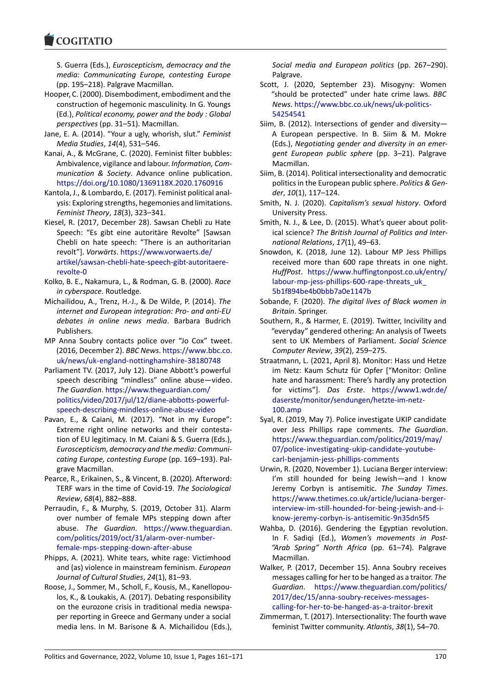#### COQUATIO

S. Guerra (Eds.), *Euroscepticism, democracy and the media: Communicating Europe, contesting Europe* [\(pp. 195–218\). Pa](https://www.cogitatiopress.com)lgrave Macmillan.

- Hooper, C. (2000). Disembodiment, embodiment and the construction of hegemonic masculinity. In G. Youngs (Ed.), *Political economy, power and the body : Global perspectives* (pp. 31–51). Macmillan.
- Jane, E. A. (2014). "Your a ugly, whorish, slut." *Feminist Media Studies*, *14*(4), 531–546.
- Kanai, A., & McGrane, C. (2020). Feminist filter bubbles: Ambivalence, vigilance and labour. *Information, Com‐ munication & Society*. Advance online publication. https://doi.org/10.1080/1369118X.2020.1760916
- Kantola, J., & Lombardo, E. (2017). Feminist political anal‐ ysis: Exploring strengths, hegemonies and limitations. *Feminist Theory*, *18*(3), 323–341.
- Kie[sel, R. \(2017, December 28\). Sawsan Chebli zu Ha](https://doi.org/10.1080/1369118X.2020.1760916)te Speech: "Es gibt eine autoritäre Revolte" [Sawsan Chebli on hate speech: "There is an authoritarian revolt"]. *Vorwärts*. https://www.vorwaerts.de/ artikel/sawsan‐chebli‐hate‐speech‐gibt‐autoritaere‐ revolte‐0
- Kolko, B. E., Nakamura, L., & Rodman, G. B. (2000). *Race in cyberspace*. Rou[tledge.](https://www.vorwaerts.de/artikel/sawsan-chebli-hate-speech-gibt-autoritaere-revolte-0)
- Mic[hailidou, A., Trenz, H.‐J., & De Wilde, P. \(2014\).](https://www.vorwaerts.de/artikel/sawsan-chebli-hate-speech-gibt-autoritaere-revolte-0) *The [internet a](https://www.vorwaerts.de/artikel/sawsan-chebli-hate-speech-gibt-autoritaere-revolte-0)nd European integration: Pro‐ and anti‐EU debates in online news media*. Barbara Budrich Publishers.
- MP Anna Soubry contacts police over "Jo Cox" tweet. (2016, December 2). *BBC News*. https://www.bbc.co. uk/news/uk‐england‐nottinghamshire‐38180748
- Parliament TV. (2017, July 12). Diane Abbott's powerful speech describing "mindless" online abuse—video. *The Guardian*. https://www.the[guardian.com/](https://www.bbc.co.uk/news/uk-england-nottinghamshire-38180748) [politics/video/2017/jul/12/diane‐abbotts‐powerfu](https://www.bbc.co.uk/news/uk-england-nottinghamshire-38180748)l‐ speech‐describing‐mindless‐online‐abuse‐video
- Pavan, E., & Caiani, M. (2017). "Not in my Europe": Extreme right [online networks and their con](https://www.theguardian.com/politics/video/2017/jul/12/diane-abbotts-powerful-speech-describing-mindless-online-abuse-video)testa‐ [tion of EU legitimacy. In M. Caiani & S. Guerra \(Eds.\)](https://www.theguardian.com/politics/video/2017/jul/12/diane-abbotts-powerful-speech-describing-mindless-online-abuse-video), *[Euroscepticism, democracy and the media: Comm](https://www.theguardian.com/politics/video/2017/jul/12/diane-abbotts-powerful-speech-describing-mindless-online-abuse-video)uni‐ cating Europe, contesting Europe* (pp. 169–193). Pal‐ grave Macmillan.
- Pearce, R., Erikainen, S., & Vincent, B. (2020). Afterword: TERF wars in the time of Covid‐19. *The Sociological Review*, *68*(4), 882–888.
- Perraudin, F., & Murphy, S. (2019, October 31). Alarm over number of female MPs stepping down after abuse. *The Guardian*. https://www.theguardian. com/politics/2019/oct/31/alarm‐over‐number‐ female‐mps‐stepping‐down‐after‐abuse
- Phipps, A. (2021). White tears, white rage: Victimhood and (as) violence in mains[tream feminism.](https://www.theguardian.com/politics/2019/oct/31/alarm-over-number-female-mps-stepping-down-after-abuse) *European [Journal of Cultural Studies](https://www.theguardian.com/politics/2019/oct/31/alarm-over-number-female-mps-stepping-down-after-abuse)*, *24*(1), 81–93.
- Ro[ose, J., Sommer, M., Scholl, F., Kousis, M., K](https://www.theguardian.com/politics/2019/oct/31/alarm-over-number-female-mps-stepping-down-after-abuse)anellopou‐ los, K., & Loukakis, A. (2017). Debating responsibility on the eurozone crisis in traditional media newspa‐ per reporting in Greece and Germany under a social media lens. In M. Barisone & A. Michailidou (Eds.),

*Social media and European politics* (pp. 267–290). Palgrave.

- Scott, J. (2020, September 23). Misogyny: Women "should be protected" under hate crime laws. *BBC News*. https://www.bbc.co.uk/news/uk‐politics‐ 54254541
- Siim, B. (2012). Intersections of gender and diversity— A European perspective. In B. Siim & M. Mokre (Eds.), *[Negotiating gender and diversity in an e](https://www.bbc.co.uk/news/uk-politics-54254541)mer‐ [gent Euro](https://www.bbc.co.uk/news/uk-politics-54254541)pean public sphere* (pp. 3–21). Palgrave Macmillan.
- Siim, B. (2014). Political intersectionality and democratic politics in the European public sphere. *Politics & Gen‐ der*, *10*(1), 117–124.
- Smith, N. J. (2020). *Capitalism's sexual history*. Oxford University Press.
- Smith, N. J., & Lee, D. (2015). What's queer about polit‐ ical science? *The British Journal of Politics and Inter‐ national Relations*, *17*(1), 49–63.
- Snowdon, K. (2018, June 12). Labour MP Jess Phillips received more than 600 rape threats in one night. *HuffPost*. https://www.huffingtonpost.co.uk/entry/ labour-mp-jess-phillips-600-rape-threats\_uk 5b1f894be4b0bbb7a0e1147b
- Sobande, F. (2020). *The digital lives of Black women in Britain*. Sp[ringer.](https://www.huffingtonpost.co.uk/entry/labour-mp-jess-phillips-600-rape-threats_uk_5b1f894be4b0bbb7a0e1147b)
- So[uthern, R., & Harmer, E. \(2019\). Twitter, Incivilit](https://www.huffingtonpost.co.uk/entry/labour-mp-jess-phillips-600-rape-threats_uk_5b1f894be4b0bbb7a0e1147b)y and ["everyday" gendered othering](https://www.huffingtonpost.co.uk/entry/labour-mp-jess-phillips-600-rape-threats_uk_5b1f894be4b0bbb7a0e1147b): An analysis of Tweets sent to UK Members of Parliament. *Social Science Computer Review*, *39*(2), 259–275.
- Straatmann, L. (2021, April 8). Monitor: Hass und Hetze im Netz: Kaum Schutz für Opfer ["Monitor: Online hate and harassment: There's hardly any protection for victims"]. *Das Erste*. https://www1.wdr.de/ daserste/monitor/sendungen/hetzte‐im‐netz‐ 100.amp
- Syal, R. (2019, May 7). Police investigate UKIP candidate over Jess Phillips rape comments. *[The Guardian](https://www1.wdr.de/daserste/monitor/sendungen/hetzte-im-netz-100.amp)*. [https://www.theguardian.com/politics/2019/](https://www1.wdr.de/daserste/monitor/sendungen/hetzte-im-netz-100.amp)may/ [07/police](https://www1.wdr.de/daserste/monitor/sendungen/hetzte-im-netz-100.amp)‐investigating‐ukip‐candidate‐youtube‐ carl‐benjamin‐jess‐phillips‐comments
- Urwin, R. (2020, November 1). Luciana Berger interview: [I'm still hounded for being Jewish—and I know](https://www.theguardian.com/politics/2019/may/07/police-investigating-ukip-candidate-youtube-carl-benjamin-jess-phillips-comments) [Jeremy Corbyn is antisemitic.](https://www.theguardian.com/politics/2019/may/07/police-investigating-ukip-candidate-youtube-carl-benjamin-jess-phillips-comments) *The Sunday Times*. [https://www.thetimes.co.uk/article/lu](https://www.theguardian.com/politics/2019/may/07/police-investigating-ukip-candidate-youtube-carl-benjamin-jess-phillips-comments)ciana‐berger‐ interview‐im‐still‐hounded‐for‐being‐jewish‐and‐i‐ know‐jeremy‐corbyn‐is‐antisemitic‐9n35dn5f5
- Wahba, D. (2016). Gendering the Egyptian revolution. In F. Sadiqi (Ed.), *[Women's movements in Post‐](https://www.thetimes.co.uk/article/luciana-berger-interview-im-still-hounded-for-being-jewish-and-i-know-jeremy-corbyn-is-antisemitic-9n35dn5f5) ["Arab Spring" North Africa](https://www.thetimes.co.uk/article/luciana-berger-interview-im-still-hounded-for-being-jewish-and-i-know-jeremy-corbyn-is-antisemitic-9n35dn5f5)* (pp. 61–74). Palgrave [Macmillan.](https://www.thetimes.co.uk/article/luciana-berger-interview-im-still-hounded-for-being-jewish-and-i-know-jeremy-corbyn-is-antisemitic-9n35dn5f5)
- Walker, P. (2017, December 15). Anna Soubry receives messages calling for her to be hanged as a traitor. *The Guardian*. https://www.theguardian.com/politics/ 2017/dec/15/anna‐soubry‐receives‐messages‐ calling‐for‐her‐to‐be‐hanged‐as‐a‐traitor‐brexit
- Zimmerman, T. (2017). Intersectionality: The fourth wave feminist Twi[tter community.](https://www.theguardian.com/politics/2017/dec/15/anna-soubry-receives-messages-calling-for-her-to-be-hanged-as-a-traitor-brexit) *Atlantis*, *38*(1), 54–70.